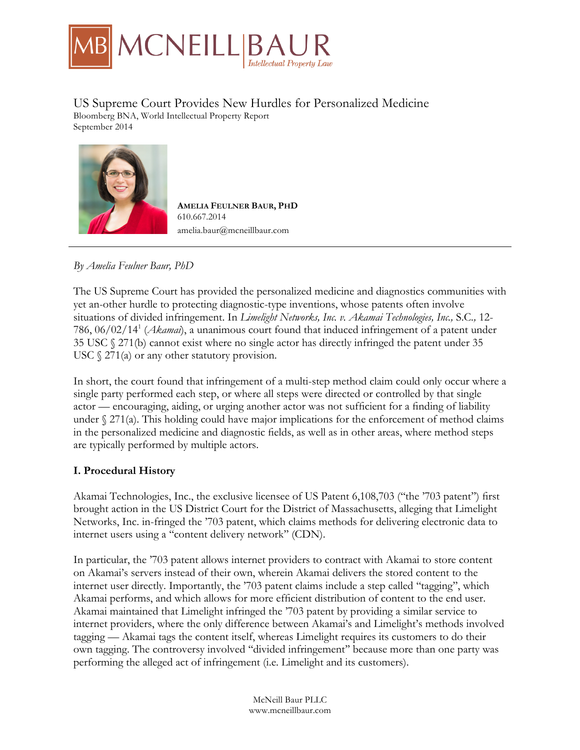

# US Supreme Court Provides New Hurdles for Personalized Medicine

Bloomberg BNA, World Intellectual Property Report September 2014



**AMELIA FEULNER BAUR, PHD** 610.667.2014 amelia.baur@mcneillbaur.com

# *By Amelia Feulner Baur, PhD*

The US Supreme Court has provided the personalized medicine and diagnostics communities with yet an-other hurdle to protecting diagnostic-type inventions, whose patents often involve situations of divided infringement. In *Limelight Networks, Inc. v. Akamai Technologies, Inc.,* S.C*.,* 12- 786, 06/02/141 (*Akamai*), a unanimous court found that induced infringement of a patent under 35 USC § 271(b) cannot exist where no single actor has directly infringed the patent under 35 USC  $\S$  271(a) or any other statutory provision.

In short, the court found that infringement of a multi-step method claim could only occur where a single party performed each step, or where all steps were directed or controlled by that single actor — encouraging, aiding, or urging another actor was not sufficient for a finding of liability under  $\S 271(a)$ . This holding could have major implications for the enforcement of method claims in the personalized medicine and diagnostic fields, as well as in other areas, where method steps are typically performed by multiple actors.

# **I. Procedural History**

Akamai Technologies, Inc., the exclusive licensee of US Patent 6,108,703 (''the '703 patent'') first brought action in the US District Court for the District of Massachusetts, alleging that Limelight Networks, Inc. in-fringed the '703 patent, which claims methods for delivering electronic data to internet users using a ''content delivery network'' (CDN).

In particular, the '703 patent allows internet providers to contract with Akamai to store content on Akamai's servers instead of their own, wherein Akamai delivers the stored content to the internet user directly. Importantly, the '703 patent claims include a step called ''tagging'', which Akamai performs, and which allows for more efficient distribution of content to the end user. Akamai maintained that Limelight infringed the '703 patent by providing a similar service to internet providers, where the only difference between Akamai's and Limelight's methods involved tagging — Akamai tags the content itself, whereas Limelight requires its customers to do their own tagging. The controversy involved ''divided infringement'' because more than one party was performing the alleged act of infringement (i.e. Limelight and its customers).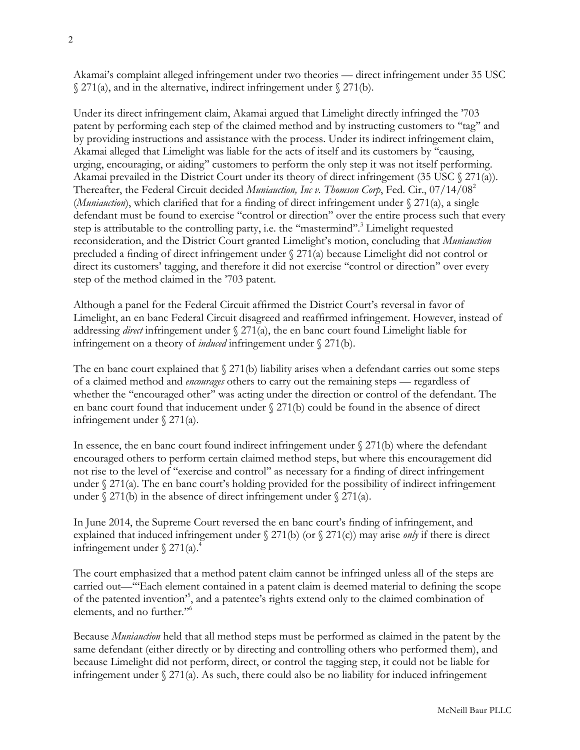Akamai's complaint alleged infringement under two theories — direct infringement under 35 USC  $\Im$  271(a), and in the alternative, indirect infringement under  $\Im$  271(b).

Under its direct infringement claim, Akamai argued that Limelight directly infringed the '703 patent by performing each step of the claimed method and by instructing customers to ''tag'' and by providing instructions and assistance with the process. Under its indirect infringement claim, Akamai alleged that Limelight was liable for the acts of itself and its customers by ''causing, urging, encouraging, or aiding'' customers to perform the only step it was not itself performing. Akamai prevailed in the District Court under its theory of direct infringement (35 USC  $\gamma$  271(a)). Thereafter, the Federal Circuit decided *Muniauction, Inc v. Thomson Corp*, Fed. Cir., 07/14/082 (*Muniauction*), which clarified that for a finding of direct infringement under § 271(a), a single defendant must be found to exercise ''control or direction'' over the entire process such that every step is attributable to the controlling party, i.e. the ''mastermind''.3 Limelight requested reconsideration, and the District Court granted Limelight's motion, concluding that *Muniauction* precluded a finding of direct infringement under  $\S 271(a)$  because Limelight did not control or direct its customers' tagging, and therefore it did not exercise ''control or direction'' over every step of the method claimed in the '703 patent.

Although a panel for the Federal Circuit affirmed the District Court's reversal in favor of Limelight, an en banc Federal Circuit disagreed and reaffirmed infringement. However, instead of addressing *direct* infringement under § 271(a), the en banc court found Limelight liable for infringement on a theory of *induced* infringement under § 271(b).

The en banc court explained that  $\S 271(b)$  liability arises when a defendant carries out some steps of a claimed method and *encourages* others to carry out the remaining steps — regardless of whether the "encouraged other" was acting under the direction or control of the defendant. The en banc court found that inducement under § 271(b) could be found in the absence of direct infringement under § 271(a).

In essence, the en banc court found indirect infringement under  $\S 271(b)$  where the defendant encouraged others to perform certain claimed method steps, but where this encouragement did not rise to the level of ''exercise and control'' as necessary for a finding of direct infringement under  $\S 271(a)$ . The en banc court's holding provided for the possibility of indirect infringement under  $\sqrt{271(b)}$  in the absence of direct infringement under  $\sqrt{271(a)}$ .

In June 2014, the Supreme Court reversed the en banc court's finding of infringement, and explained that induced infringement under § 271(b) (or § 271(c)) may arise *only* if there is direct infringement under  $\frac{271}{a}$ .

The court emphasized that a method patent claim cannot be infringed unless all of the steps are carried out—'''Each element contained in a patent claim is deemed material to defining the scope of the patented invention'5 , and a patentee's rights extend only to the claimed combination of elements, and no further.''6

Because *Muniauction* held that all method steps must be performed as claimed in the patent by the same defendant (either directly or by directing and controlling others who performed them), and because Limelight did not perform, direct, or control the tagging step, it could not be liable for infringement under  $\S 271(a)$ . As such, there could also be no liability for induced infringement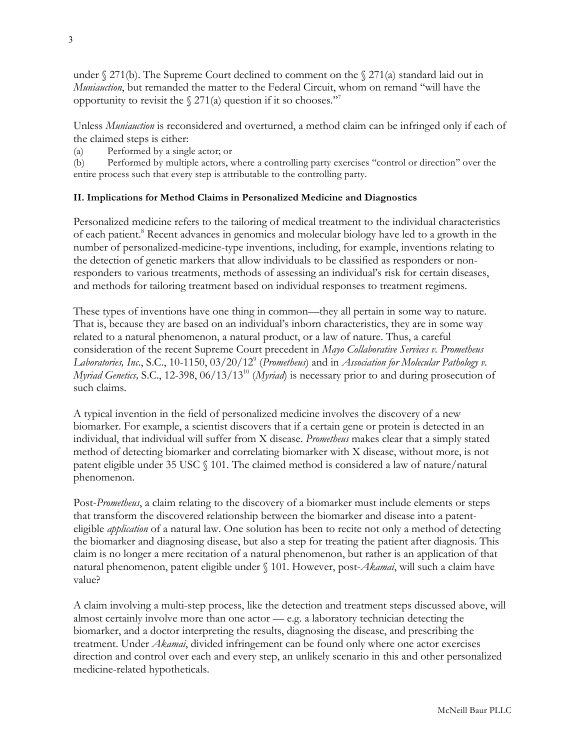under  $\S 271(b)$ . The Supreme Court declined to comment on the  $\S 271(a)$  standard laid out in *Muniauction*, but remanded the matter to the Federal Circuit, whom on remand ''will have the opportunity to revisit the  $\frac{271}{a}$  question if it so chooses.<sup>"7</sup>

Unless *Muniauction* is reconsidered and overturned, a method claim can be infringed only if each of the claimed steps is either:

(a) Performed by a single actor; or

(b) Performed by multiple actors, where a controlling party exercises ''control or direction'' over the entire process such that every step is attributable to the controlling party.

# **II. Implications for Method Claims in Personalized Medicine and Diagnostics**

Personalized medicine refers to the tailoring of medical treatment to the individual characteristics of each patient.8 Recent advances in genomics and molecular biology have led to a growth in the number of personalized-medicine-type inventions, including, for example, inventions relating to the detection of genetic markers that allow individuals to be classified as responders or nonresponders to various treatments, methods of assessing an individual's risk for certain diseases, and methods for tailoring treatment based on individual responses to treatment regimens.

These types of inventions have one thing in common—they all pertain in some way to nature. That is, because they are based on an individual's inborn characteristics, they are in some way related to a natural phenomenon, a natural product, or a law of nature. Thus, a careful consideration of the recent Supreme Court precedent in *Mayo Collaborative Services v. Prometheus Laboratories, Inc*., S.C., 10-1150, 03/20/129 (*Prometheus*) and in *Association for Molecular Pathology v. Myriad Genetics,* S.C., 12-398, 06/13/1310 (*Myriad*) is necessary prior to and during prosecution of such claims.

A typical invention in the field of personalized medicine involves the discovery of a new biomarker. For example, a scientist discovers that if a certain gene or protein is detected in an individual, that individual will suffer from X disease. *Prometheus* makes clear that a simply stated method of detecting biomarker and correlating biomarker with X disease, without more, is not patent eligible under 35 USC § 101. The claimed method is considered a law of nature/natural phenomenon.

Post-*Prometheus*, a claim relating to the discovery of a biomarker must include elements or steps that transform the discovered relationship between the biomarker and disease into a patenteligible *application* of a natural law. One solution has been to recite not only a method of detecting the biomarker and diagnosing disease, but also a step for treating the patient after diagnosis. This claim is no longer a mere recitation of a natural phenomenon, but rather is an application of that natural phenomenon, patent eligible under § 101. However, post-*Akamai*, will such a claim have value?

A claim involving a multi-step process, like the detection and treatment steps discussed above, will almost certainly involve more than one actor — e.g. a laboratory technician detecting the biomarker, and a doctor interpreting the results, diagnosing the disease, and prescribing the treatment. Under *Akamai*, divided infringement can be found only where one actor exercises direction and control over each and every step, an unlikely scenario in this and other personalized medicine-related hypotheticals.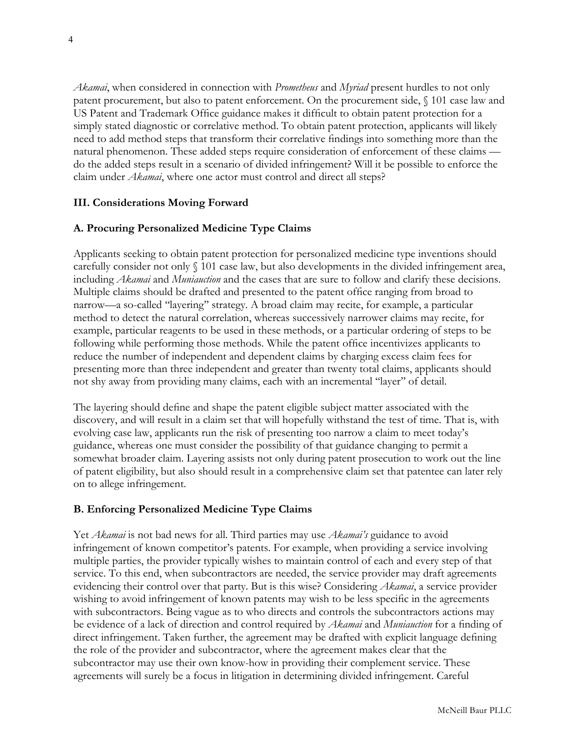*Akamai*, when considered in connection with *Prometheus* and *Myriad* present hurdles to not only patent procurement, but also to patent enforcement. On the procurement side, § 101 case law and US Patent and Trademark Office guidance makes it difficult to obtain patent protection for a simply stated diagnostic or correlative method. To obtain patent protection, applicants will likely need to add method steps that transform their correlative findings into something more than the natural phenomenon. These added steps require consideration of enforcement of these claims do the added steps result in a scenario of divided infringement? Will it be possible to enforce the claim under *Akamai*, where one actor must control and direct all steps?

# **III. Considerations Moving Forward**

## **A. Procuring Personalized Medicine Type Claims**

Applicants seeking to obtain patent protection for personalized medicine type inventions should carefully consider not only § 101 case law, but also developments in the divided infringement area, including *Akamai* and *Muniauction* and the cases that are sure to follow and clarify these decisions. Multiple claims should be drafted and presented to the patent office ranging from broad to narrow—a so-called ''layering'' strategy. A broad claim may recite, for example, a particular method to detect the natural correlation, whereas successively narrower claims may recite, for example, particular reagents to be used in these methods, or a particular ordering of steps to be following while performing those methods. While the patent office incentivizes applicants to reduce the number of independent and dependent claims by charging excess claim fees for presenting more than three independent and greater than twenty total claims, applicants should not shy away from providing many claims, each with an incremental ''layer'' of detail.

The layering should define and shape the patent eligible subject matter associated with the discovery, and will result in a claim set that will hopefully withstand the test of time. That is, with evolving case law, applicants run the risk of presenting too narrow a claim to meet today's guidance, whereas one must consider the possibility of that guidance changing to permit a somewhat broader claim. Layering assists not only during patent prosecution to work out the line of patent eligibility, but also should result in a comprehensive claim set that patentee can later rely on to allege infringement.

#### **B. Enforcing Personalized Medicine Type Claims**

Yet *Akamai* is not bad news for all. Third parties may use *Akamai's* guidance to avoid infringement of known competitor's patents. For example, when providing a service involving multiple parties, the provider typically wishes to maintain control of each and every step of that service. To this end, when subcontractors are needed, the service provider may draft agreements evidencing their control over that party. But is this wise? Considering *Akamai*, a service provider wishing to avoid infringement of known patents may wish to be less specific in the agreements with subcontractors. Being vague as to who directs and controls the subcontractors actions may be evidence of a lack of direction and control required by *Akamai* and *Muniauction* for a finding of direct infringement. Taken further, the agreement may be drafted with explicit language defining the role of the provider and subcontractor, where the agreement makes clear that the subcontractor may use their own know-how in providing their complement service. These agreements will surely be a focus in litigation in determining divided infringement. Careful